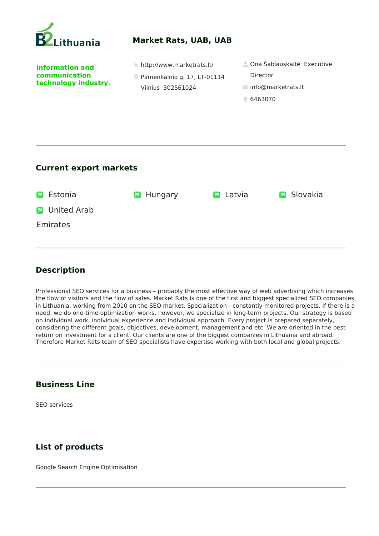

### **Market Rats, UAB, UAB**

**Information and communication technology industry.** 

- 
- Pamėnkalnio g. 17, LT-01114 Vilnius 302561024
- http://www.marketrats.lt/ Ona Šablauskaitė Executive Director
	- info@marketrats.lt
	- 6463070

#### **Current export markets**

| <b>P</b> Estonia |                      | <b>D</b> Hungary | $\blacksquare$ Latvia | <b>P</b> Slovakia |
|------------------|----------------------|------------------|-----------------------|-------------------|
|                  | <b>D</b> United Arab |                  |                       |                   |
| Emirates         |                      |                  |                       |                   |
|                  |                      |                  |                       |                   |

# **Description**

Professional SEO services for a business – probably the most effective way of web advertising which increases the flow of visitors and the flow of sales. Market Rats is one of the first and biggest specialized SEO companies in Lithuania, working from 2010 on the SEO market. Specialization - constantly monitored projects. If there is a need, we do one-time optimization works, however, we specialize in long-term projects. Our strategy is based on individual work, individual experience and individual approach. Every project is prepared separately, considering the different goals, objectives, development, management and etc. We are oriented in the best return on investment for a client. Our clients are one of the biggest companies in Lithuania and abroad. Therefore Market Rats team of SEO specialists have expertise working with both local and global projects.

### **Business Line**

SEO services

# **List of products**

Google Search Engine Optimisation